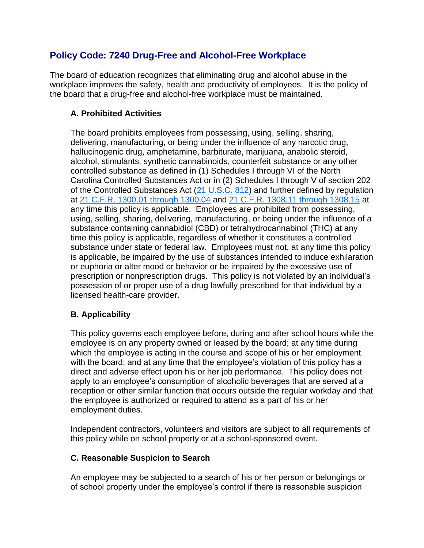# **Policy Code: 7240 Drug-Free and Alcohol-Free Workplace**

The board of education recognizes that eliminating drug and alcohol abuse in the workplace improves the safety, health and productivity of employees. It is the policy of the board that a drug-free and alcohol-free workplace must be maintained.

## **A. Prohibited Activities**

The board prohibits employees from possessing, using, selling, sharing, delivering, manufacturing, or being under the influence of any narcotic drug, hallucinogenic drug, amphetamine, barbiturate, marijuana, anabolic steroid, alcohol, stimulants, synthetic cannabinoids, counterfeit substance or any other controlled substance as defined in (1) Schedules I through VI of the North Carolina Controlled Substances Act or in (2) Schedules I through V of section 202 of the Controlled Substances Act  $(21 \text{ U.S.C. } 812)$  and further defined by regulation at [21 C.F.R. 1300.01 through 1300.04](http://redirector.microscribepub.com/?cat=cfr&loc=us&id=21&spec=1300.01) and [21 C.F.R. 1308.11 through 1308.15](http://redirector.microscribepub.com/?cat=cfr&loc=us&id=21&spec=1308.11) at any time this policy is applicable. Employees are prohibited from possessing, using, selling, sharing, delivering, manufacturing, or being under the influence of a substance containing cannabidiol (CBD) or tetrahydrocannabinol (THC) at any time this policy is applicable, regardless of whether it constitutes a controlled substance under state or federal law. Employees must not, at any time this policy is applicable, be impaired by the use of substances intended to induce exhilaration or euphoria or alter mood or behavior or be impaired by the excessive use of prescription or nonprescription drugs. This policy is not violated by an individual's possession of or proper use of a drug lawfully prescribed for that individual by a licensed health-care provider.

## **B. Applicability**

This policy governs each employee before, during and after school hours while the employee is on any property owned or leased by the board; at any time during which the employee is acting in the course and scope of his or her employment with the board; and at any time that the employee's violation of this policy has a direct and adverse effect upon his or her job performance. This policy does not apply to an employee's consumption of alcoholic beverages that are served at a reception or other similar function that occurs outside the regular workday and that the employee is authorized or required to attend as a part of his or her employment duties.

Independent contractors, volunteers and visitors are subject to all requirements of this policy while on school property or at a school-sponsored event.

#### **C. Reasonable Suspicion to Search**

An employee may be subjected to a search of his or her person or belongings or of school property under the employee's control if there is reasonable suspicion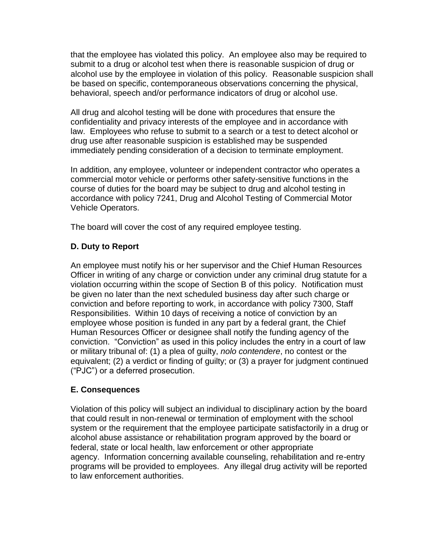that the employee has violated this policy. An employee also may be required to submit to a drug or alcohol test when there is reasonable suspicion of drug or alcohol use by the employee in violation of this policy. Reasonable suspicion shall be based on specific, contemporaneous observations concerning the physical, behavioral, speech and/or performance indicators of drug or alcohol use.

All drug and alcohol testing will be done with procedures that ensure the confidentiality and privacy interests of the employee and in accordance with law. Employees who refuse to submit to a search or a test to detect alcohol or drug use after reasonable suspicion is established may be suspended immediately pending consideration of a decision to terminate employment.

In addition, any employee, volunteer or independent contractor who operates a commercial motor vehicle or performs other safety-sensitive functions in the course of duties for the board may be subject to drug and alcohol testing in accordance with policy 7241, Drug and Alcohol Testing of Commercial Motor Vehicle Operators.

The board will cover the cost of any required employee testing.

### **D. Duty to Report**

An employee must notify his or her supervisor and the Chief Human Resources Officer in writing of any charge or conviction under any criminal drug statute for a violation occurring within the scope of Section B of this policy. Notification must be given no later than the next scheduled business day after such charge or conviction and before reporting to work, in accordance with policy 7300, Staff Responsibilities. Within 10 days of receiving a notice of conviction by an employee whose position is funded in any part by a federal grant, the Chief Human Resources Officer or designee shall notify the funding agency of the conviction. "Conviction" as used in this policy includes the entry in a court of law or military tribunal of: (1) a plea of guilty, *nolo contendere*, no contest or the equivalent; (2) a verdict or finding of guilty; or (3) a prayer for judgment continued ("PJC") or a deferred prosecution.

#### **E. Consequences**

Violation of this policy will subject an individual to disciplinary action by the board that could result in non-renewal or termination of employment with the school system or the requirement that the employee participate satisfactorily in a drug or alcohol abuse assistance or rehabilitation program approved by the board or federal, state or local health, law enforcement or other appropriate agency. Information concerning available counseling, rehabilitation and re-entry programs will be provided to employees. Any illegal drug activity will be reported to law enforcement authorities.